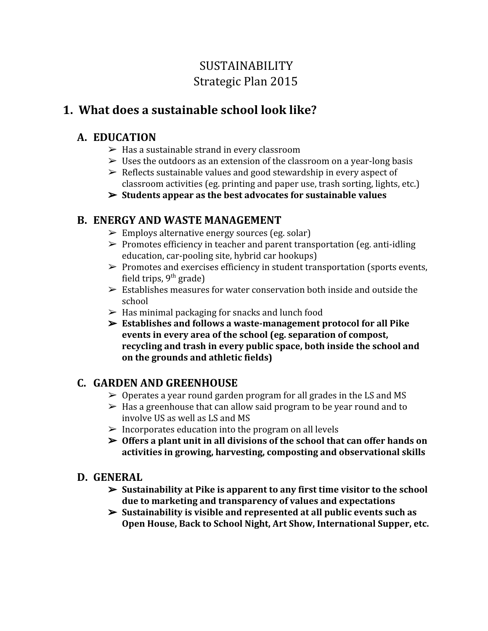# SUSTAINABILITY Strategic Plan 2015

## **1. What does a sustainable school look like?**

### **A. EDUCATION**

- $\blacktriangleright$  Has a sustainable strand in every classroom
- $\triangleright$  Uses the outdoors as an extension of the classroom on a year-long basis
- $\triangleright$  Reflects sustainable values and good stewardship in every aspect of classroom activities (eg. printing and paper use, trash sorting, lights, etc.)
- ➢ **Students appear as the best advocates for sustainable values**

## **B. ENERGY AND WASTE MANAGEMENT**

- $\triangleright$  Employs alternative energy sources (eg. solar)
- $\triangleright$  Promotes efficiency in teacher and parent transportation (eg. anti-idling education, car-pooling site, hybrid car hookups)
- $\triangleright$  Promotes and exercises efficiency in student transportation (sports events, field trips, 9<sup>th</sup> grade)
- $\triangleright$  Establishes measures for water conservation both inside and outside the school
- $\triangleright$  Has minimal packaging for snacks and lunch food
- ➢ **Establishes and follows a waste-management protocol for all Pike events in every area of the school (eg. separation of compost, recycling and trash in every public space, both inside the school and on the grounds and athletic fields)**

## **C. GARDEN AND GREENHOUSE**

- $\geq 0$  perates a year round garden program for all grades in the LS and MS
- $\triangleright$  Has a greenhouse that can allow said program to be year round and to involve US as well as LS and MS
- $\triangleright$  Incorporates education into the program on all levels
- ➢ **Offers a plant unit in all divisions of the school that can offer hands on activities in growing, harvesting, composting and observational skills**
- **D. GENERAL**
	- ➢ **Sustainability at Pike is apparent to any first time visitor to the school due to marketing and transparency of values and expectations**
	- ➢ **Sustainability is visible and represented at all public events such as Open House, Back to School Night, Art Show, International Supper, etc.**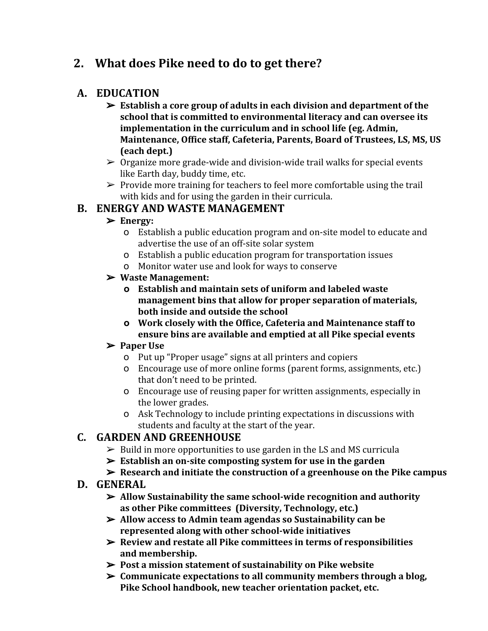## **2. What does Pike need to do to get there?**

### **A. EDUCATION**

- ➢ **Establish a core group of adults in each division and department of the school that is committed to environmental literacy and can oversee its implementation in the curriculum and in school life (eg. Admin, Maintenance, Office staff, Cafeteria, Parents, Board of Trustees, LS, MS, US (each dept.)**
- $\geq 0$  organize more grade-wide and division-wide trail walks for special events like Earth day, buddy time, etc.
- $\triangleright$  Provide more training for teachers to feel more comfortable using the trail with kids and for using the garden in their curricula.

### **B. ENERGY AND WASTE MANAGEMENT**

### ➢ **Energy:**

- o Establish a public education program and on-site model to educate and advertise the use of an off-site solar system
- o Establish a public education program for transportation issues
- o Monitor water use and look for ways to conserve

### ➢ **Waste Management:**

- **o Establish and maintain sets of uniform and labeled waste management bins that allow for proper separation of materials, both inside and outside the school**
- **o Work closely with the Office, Cafeteria and Maintenance staff to ensure bins are available and emptied at all Pike special events**

### ➢ **Paper Use**

- o Put up "Proper usage" signs at all printers and copiers
- o Encourage use of more online forms (parent forms, assignments, etc.) that don't need to be printed.
- o Encourage use of reusing paper for written assignments, especially in the lower grades.
- o Ask Technology to include printing expectations in discussions with students and faculty at the start of the year.

## **C. GARDEN AND GREENHOUSE**

- $\triangleright$  Build in more opportunities to use garden in the LS and MS curricula
- ➢ **Establish an on-site composting system for use in the garden**
- ➢ **Research and initiate the construction of a greenhouse on the Pike campus**

### **D. GENERAL**

- ➢ **Allow Sustainability the same school-wide recognition and authority as other Pike committees (Diversity, Technology, etc.)**
- ➢ **Allow access to Admin team agendas so Sustainability can be represented along with other school-wide initiatives**
- ➢ **Review and restate all Pike committees in terms of responsibilities and membership.**
- ➢ **Post a mission statement of sustainability on Pike website**
- ➢ **Communicate expectations to all community members through a blog, Pike School handbook, new teacher orientation packet, etc.**